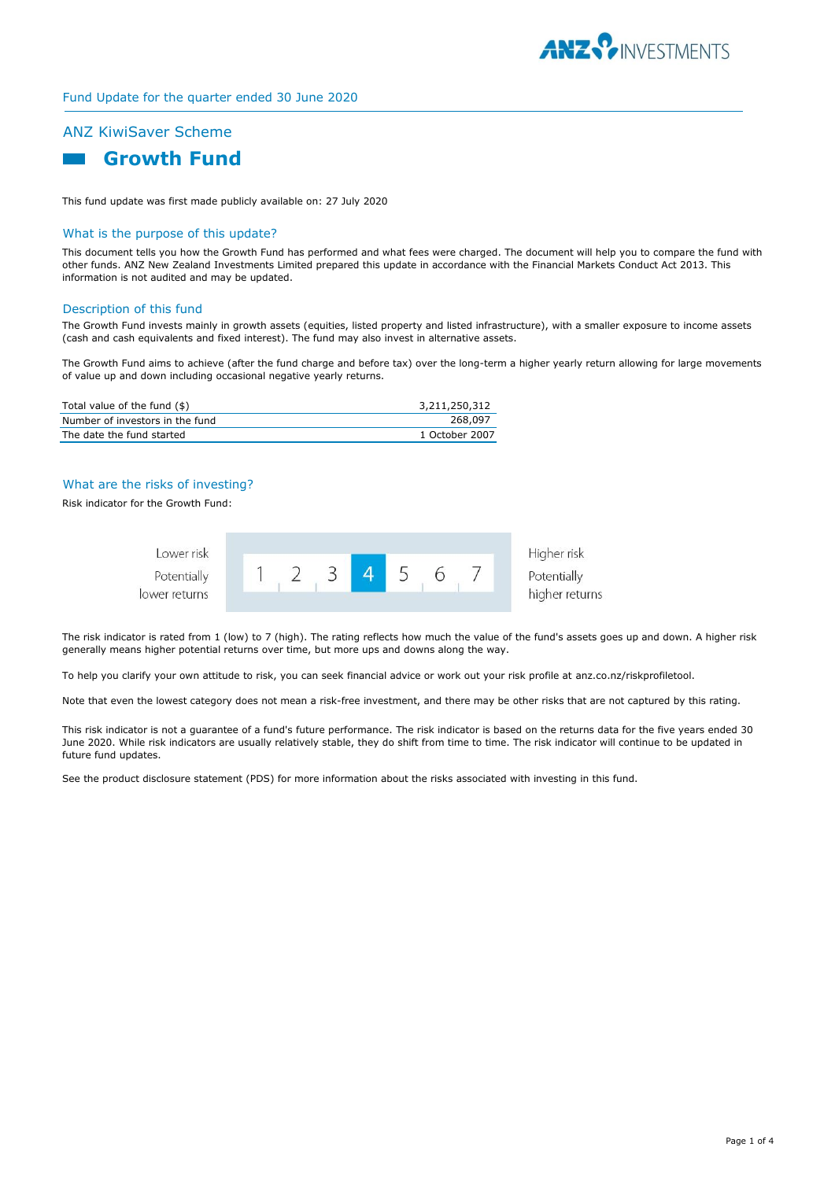

#### Fund Update for the quarter ended 30 June 2020

# ANZ KiwiSaver Scheme



This fund update was first made publicly available on: 27 July 2020

#### What is the purpose of this update?

This document tells you how the Growth Fund has performed and what fees were charged. The document will help you to compare the fund with other funds. ANZ New Zealand Investments Limited prepared this update in accordance with the Financial Markets Conduct Act 2013. This information is not audited and may be updated.

#### Description of this fund

The Growth Fund invests mainly in growth assets (equities, listed property and listed infrastructure), with a smaller exposure to income assets (cash and cash equivalents and fixed interest). The fund may also invest in alternative assets.

The Growth Fund aims to achieve (after the fund charge and before tax) over the long-term a higher yearly return allowing for large movements of value up and down including occasional negative yearly returns.

| Total value of the fund (\$)    | 3,211,250,312  |
|---------------------------------|----------------|
| Number of investors in the fund | 268,097        |
| The date the fund started       | 1 October 2007 |

### What are the risks of investing?

Risk indicator for the Growth Fund:



The risk indicator is rated from 1 (low) to 7 (high). The rating reflects how much the value of the fund's assets goes up and down. A higher risk generally means higher potential returns over time, but more ups and downs along the way.

To help you clarify your own attitude to risk, you can seek financial advice or work out your risk profile at anz.co.nz/riskprofiletool.

Note that even the lowest category does not mean a risk-free investment, and there may be other risks that are not captured by this rating.

This risk indicator is not a guarantee of a fund's future performance. The risk indicator is based on the returns data for the five years ended 30 June 2020. While risk indicators are usually relatively stable, they do shift from time to time. The risk indicator will continue to be updated in future fund updates.

See the product disclosure statement (PDS) for more information about the risks associated with investing in this fund.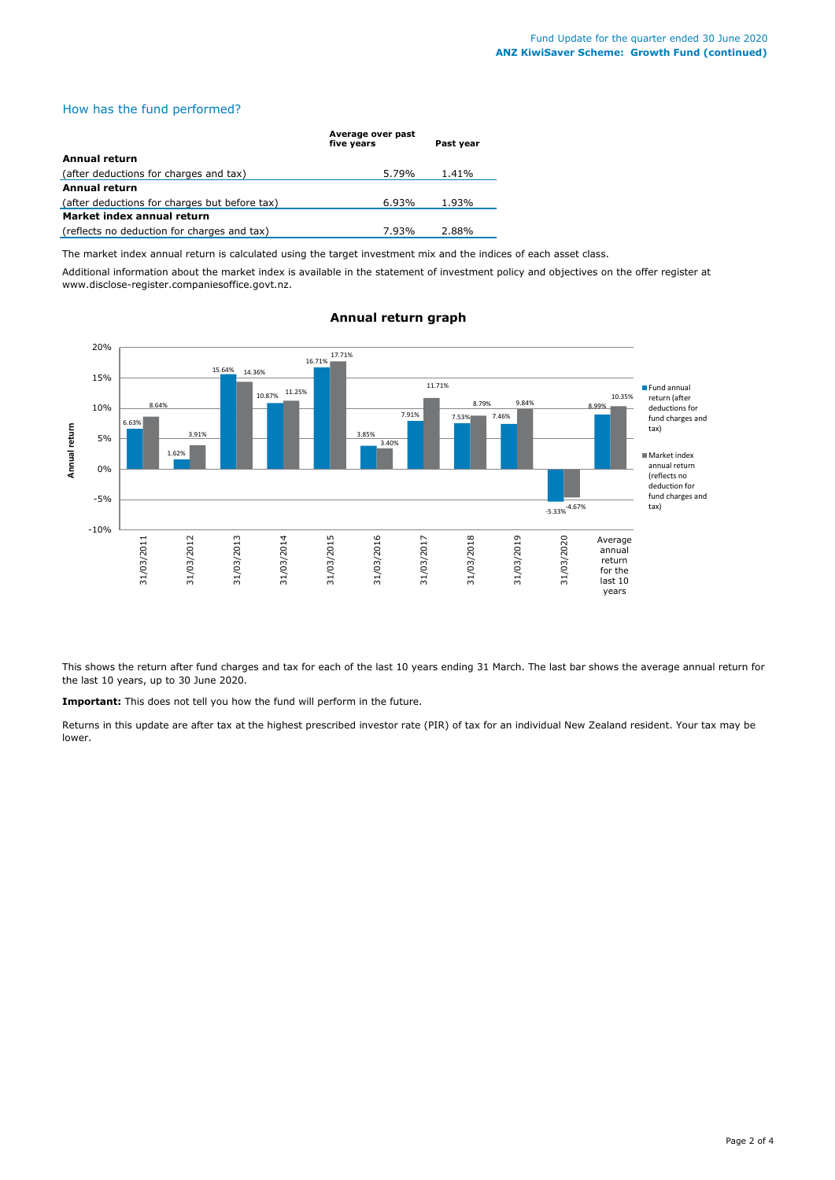# How has the fund performed?

|                                               | Average over past<br>five vears | Past vear |
|-----------------------------------------------|---------------------------------|-----------|
| Annual return                                 |                                 |           |
| (after deductions for charges and tax)        | 5.79%                           | 1.41%     |
| <b>Annual return</b>                          |                                 |           |
| (after deductions for charges but before tax) | 6.93%                           | 1.93%     |
| Market index annual return                    |                                 |           |
| (reflects no deduction for charges and tax)   | 7.93%                           | 2.88%     |

The market index annual return is calculated using the target investment mix and the indices of each asset class.

Additional information about the market index is available in the statement of investment policy and objectives on the offer register at www.disclose-register.companiesoffice.govt.nz.



#### **Annual return graph**

This shows the return after fund charges and tax for each of the last 10 years ending 31 March. The last bar shows the average annual return for the last 10 years, up to 30 June 2020.

**Important:** This does not tell you how the fund will perform in the future.

Returns in this update are after tax at the highest prescribed investor rate (PIR) of tax for an individual New Zealand resident. Your tax may be lower.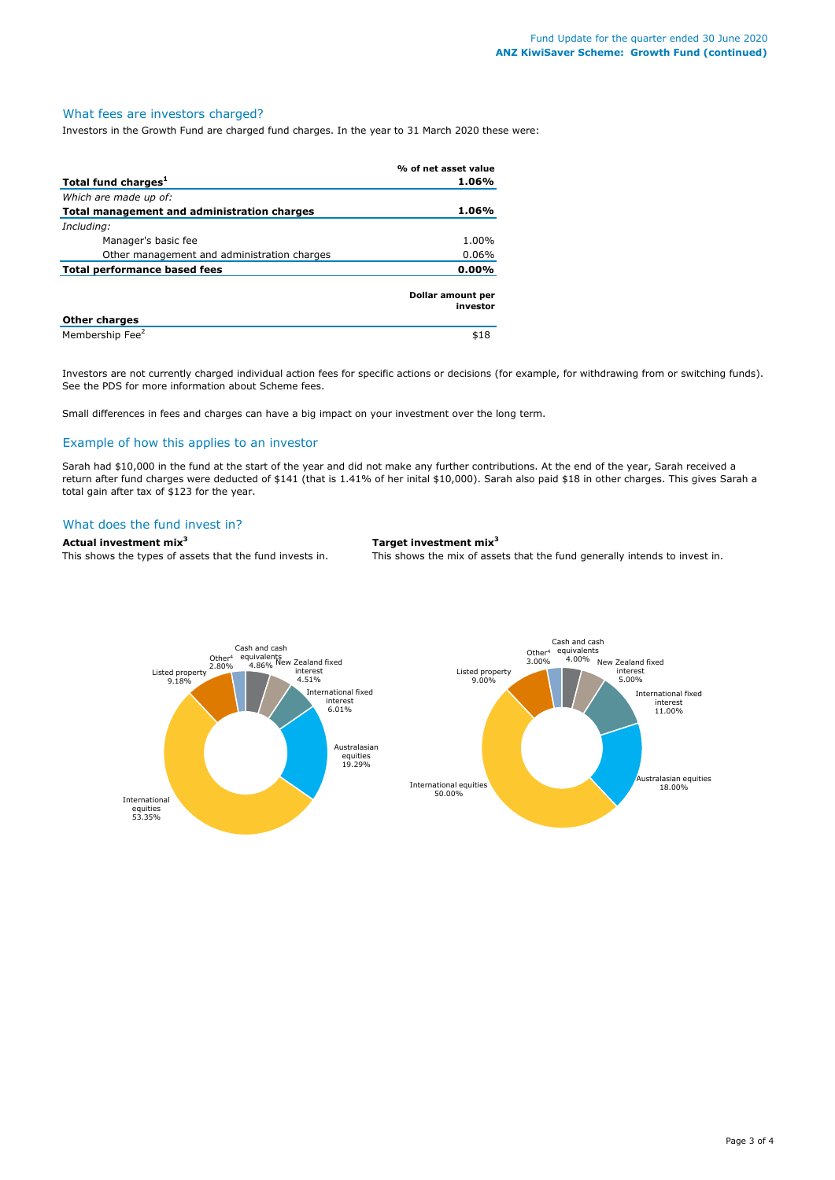#### What fees are investors charged?

Investors in the Growth Fund are charged fund charges. In the year to 31 March 2020 these were:

|                                             | % of net asset value          |
|---------------------------------------------|-------------------------------|
| Total fund charges <sup>1</sup>             | 1.06%                         |
| Which are made up of:                       |                               |
| Total management and administration charges | 1.06%                         |
| Including:                                  |                               |
| Manager's basic fee                         | 1.00%                         |
| Other management and administration charges | $0.06\%$                      |
| Total performance based fees                | $0.00\%$                      |
|                                             | Dollar amount per<br>investor |
| <b>Other charges</b>                        |                               |
| Membership Fee <sup>2</sup>                 | \$18                          |

Investors are not currently charged individual action fees for specific actions or decisions (for example, for withdrawing from or switching funds). See the PDS for more information about Scheme fees.

Small differences in fees and charges can have a big impact on your investment over the long term.

#### Example of how this applies to an investor

Sarah had \$10,000 in the fund at the start of the year and did not make any further contributions. At the end of the year, Sarah received a return after fund charges were deducted of \$141 (that is 1.41% of her inital \$10,000). Sarah also paid \$18 in other charges. This gives Sarah a total gain after tax of \$123 for the year.

#### What does the fund invest in?

# **Actual investment mix<sup>3</sup> Target investment mix<sup>3</sup>**

This shows the types of assets that the fund invests in. This shows the mix of assets that the fund generally intends to invest in.